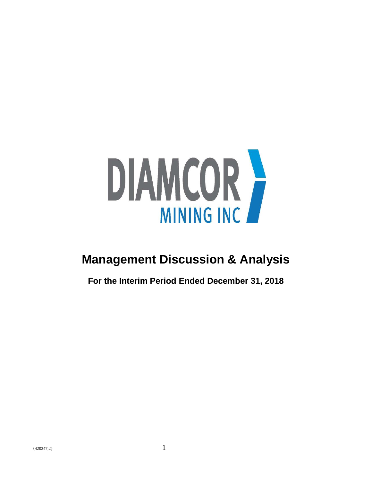

# **Management Discussion & Analysis**

**For the Interim Period Ended December 31, 2018**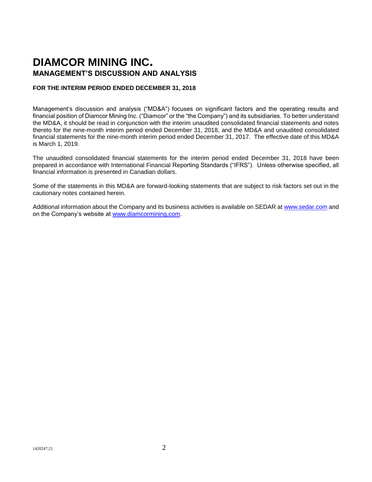# **DIAMCOR MINING INC. MANAGEMENT'S DISCUSSION AND ANALYSIS**

#### **FOR THE INTERIM PERIOD ENDED DECEMBER 31, 2018**

Management's discussion and analysis ("MD&A") focuses on significant factors and the operating results and financial position of Diamcor Mining Inc. ("Diamcor" or the "the Company") and its subsidiaries. To better understand the MD&A, it should be read in conjunction with the interim unaudited consolidated financial statements and notes thereto for the nine-month interim period ended December 31, 2018, and the MD&A and unaudited consolidated financial statements for the nine-month interim period ended December 31, 2017. The effective date of this MD&A is March 1, 2019.

The unaudited consolidated financial statements for the interim period ended December 31, 2018 have been prepared in accordance with International Financial Reporting Standards ("IFRS"). Unless otherwise specified, all financial information is presented in Canadian dollars.

Some of the statements in this MD&A are forward-looking statements that are subject to risk factors set out in the cautionary notes contained herein.

Additional information about the Company and its business activities is available on SEDAR at [www.sedar.com](http://www.sedar.com/) and on the Company's website at [www.diamcormining.com.](http://www.diamcormining.com/)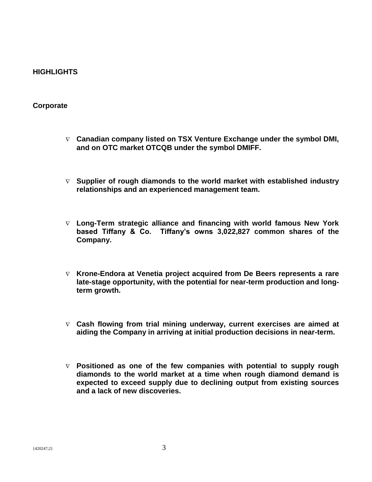# **HIGHLIGHTS**

### **Corporate**

- **Canadian company listed on TSX Venture Exchange under the symbol DMI, and on OTC market OTCQB under the symbol DMIFF.**
- **Supplier of rough diamonds to the world market with established industry relationships and an experienced management team.**
- **Long-Term strategic alliance and financing with world famous New York based Tiffany & Co. Tiffany's owns 3,022,827 common shares of the Company.**
- **Krone-Endora at Venetia project acquired from De Beers represents a rare late-stage opportunity, with the potential for near-term production and longterm growth.**
- **Cash flowing from trial mining underway, current exercises are aimed at aiding the Company in arriving at initial production decisions in near-term.**
- **Positioned as one of the few companies with potential to supply rough diamonds to the world market at a time when rough diamond demand is expected to exceed supply due to declining output from existing sources and a lack of new discoveries.**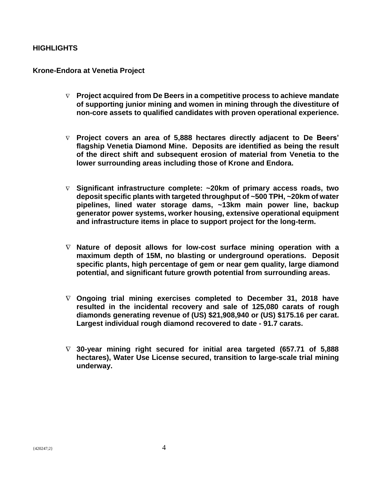# **HIGHLIGHTS**

## **Krone-Endora at Venetia Project**

- **Project acquired from De Beers in a competitive process to achieve mandate of supporting junior mining and women in mining through the divestiture of non-core assets to qualified candidates with proven operational experience.**
- **Project covers an area of 5,888 hectares directly adjacent to De Beers' flagship Venetia Diamond Mine. Deposits are identified as being the result of the direct shift and subsequent erosion of material from Venetia to the lower surrounding areas including those of Krone and Endora.**
- **Significant infrastructure complete: ~20km of primary access roads, two deposit specific plants with targeted throughput of ~500 TPH, ~20km of water pipelines, lined water storage dams, ~13km main power line, backup generator power systems, worker housing, extensive operational equipment and infrastructure items in place to support project for the long-term.**
- **Nature of deposit allows for low-cost surface mining operation with a maximum depth of 15M, no blasting or underground operations. Deposit specific plants, high percentage of gem or near gem quality, large diamond potential, and significant future growth potential from surrounding areas.**
- **Ongoing trial mining exercises completed to December 31, 2018 have resulted in the incidental recovery and sale of 125,080 carats of rough diamonds generating revenue of (US) \$21,908,940 or (US) \$175.16 per carat. Largest individual rough diamond recovered to date - 91.7 carats.**
- **30-year mining right secured for initial area targeted (657.71 of 5,888 hectares), Water Use License secured, transition to large-scale trial mining underway.**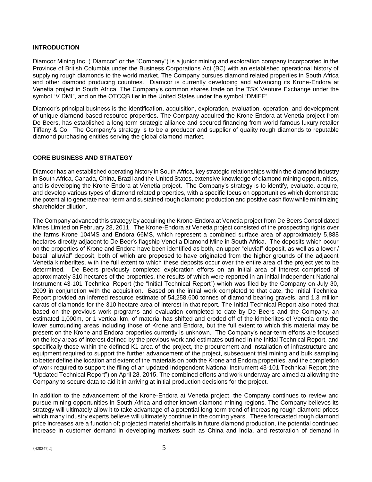#### **INTRODUCTION**

Diamcor Mining Inc. ("Diamcor" or the "Company") is a junior mining and exploration company incorporated in the Province of British Columbia under the Business Corporations Act (BC) with an established operational history of supplying rough diamonds to the world market. The Company pursues diamond related properties in South Africa and other diamond producing countries. Diamcor is currently developing and advancing its Krone-Endora at Venetia project in South Africa. The Company's common shares trade on the TSX Venture Exchange under the symbol "V.DMI", and on the OTCQB tier in the United States under the symbol "DMIFF".

Diamcor's principal business is the identification, acquisition, exploration, evaluation, operation, and development of unique diamond-based resource properties. The Company acquired the Krone-Endora at Venetia project from De Beers, has established a long-term strategic alliance and secured financing from world famous luxury retailer Tiffany & Co. The Company's strategy is to be a producer and supplier of quality rough diamonds to reputable diamond purchasing entities serving the global diamond market.

#### **CORE BUSINESS AND STRATEGY**

Diamcor has an established operating history in South Africa, key strategic relationships within the diamond industry in South Africa, Canada, China, Brazil and the United States, extensive knowledge of diamond mining opportunities, and is developing the Krone-Endora at Venetia project. The Company's strategy is to identify, evaluate, acquire, and develop various types of diamond related properties, with a specific focus on opportunities which demonstrate the potential to generate near-term and sustained rough diamond production and positive cash flow while minimizing shareholder dilution.

The Company advanced this strategy by acquiring the Krone-Endora at Venetia project from De Beers Consolidated Mines Limited on February 28, 2011. The Krone-Endora at Venetia project consisted of the prospecting rights over the farms Krone 104MS and Endora 66MS, which represent a combined surface area of approximately 5,888 hectares directly adjacent to De Beer's flagship Venetia Diamond Mine in South Africa. The deposits which occur on the properties of Krone and Endora have been identified as both, an upper "eluvial" deposit, as well as a lower / basal "alluvial" deposit, both of which are proposed to have originated from the higher grounds of the adjacent Venetia kimberlites, with the full extent to which these deposits occur over the entire area of the project yet to be determined. De Beers previously completed exploration efforts on an initial area of interest comprised of approximately 310 hectares of the properties, the results of which were reported in an initial Independent National Instrument 43-101 Technical Report (the "Initial Technical Report") which was filed by the Company on July 30, 2009 in conjunction with the acquisition. Based on the initial work completed to that date, the Initial Technical Report provided an inferred resource estimate of 54,258,600 tonnes of diamond bearing gravels, and 1.3 million carats of diamonds for the 310 hectare area of interest in that report. The Initial Technical Report also noted that based on the previous work programs and evaluation completed to date by De Beers and the Company, an estimated 1,000m, or 1 vertical km, of material has shifted and eroded off of the kimberlites of Venetia onto the lower surrounding areas including those of Krone and Endora, but the full extent to which this material may be present on the Krone and Endora properties currently is unknown. The Company's near-term efforts are focused on the key areas of interest defined by the previous work and estimates outlined in the Initial Technical Report, and specifically those within the defined K1 area of the project, the procurement and installation of infrastructure and equipment required to support the further advancement of the project, subsequent trial mining and bulk sampling to better define the location and extent of the materials on both the Krone and Endora properties, and the completion of work required to support the filing of an updated Independent National Instrument 43-101 Technical Report (the "Updated Technical Report") on April 28, 2015. The combined efforts and work underway are aimed at allowing the Company to secure data to aid it in arriving at initial production decisions for the project.

In addition to the advancement of the Krone-Endora at Venetia project, the Company continues to review and pursue mining opportunities in South Africa and other known diamond mining regions. The Company believes its strategy will ultimately allow it to take advantage of a potential long-term trend of increasing rough diamond prices which many industry experts believe will ultimately continue in the coming years. These forecasted rough diamond price increases are a function of; projected material shortfalls in future diamond production, the potential continued increase in customer demand in developing markets such as China and India, and restoration of demand in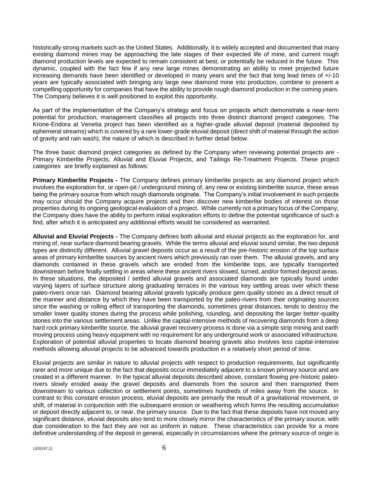historically strong markets such as the United States. Additionally, it is widely accepted and documented that many existing diamond mines may be approaching the late stages of their expected life of mine, and current rough diamond production levels are expected to remain consistent at best, or potentially be reduced in the future. This dynamic, coupled with the fact few if any new large mines demonstrating an ability to meet projected future increasing demands have been identified or developed in many years and the fact that long lead times of +/-10 years are typically associated with bringing any large new diamond mine into production, combine to present a compelling opportunity for companies that have the ability to provide rough diamond production in the coming years. The Company believes it is well positioned to exploit this opportunity.

As part of the implementation of the Company's strategy and focus on projects which demonstrate a near-term potential for production, management classifies all projects into three distinct diamond project categories. The Krone-Endora at Venetia project has been identified as a higher-grade alluvial deposit (material deposited by ephemeral streams) which is covered by a rare lower-grade eluvial deposit (direct shift of material through the action of gravity and rain wash), the nature of which is described in further detail below.

The three basic diamond project categories as defined by the Company when reviewing potential projects are - Primary Kimberlite Projects, Alluvial and Eluvial Projects, and Tailings Re-Treatment Projects. These project categories are briefly explained as follows:

**Primary Kimberlite Projects -** The Company defines primary kimberlite projects as any diamond project which involves the exploration for, or open-pit / underground mining of, any new or existing kimberlite source, these areas being the primary source from which rough diamonds originate. The Company's initial involvement in such projects may occur should the Company acquire projects and then discover new kimberlite bodies of interest on those properties during its ongoing geological evaluation of a project. While currently not a primary focus of the Company, the Company does have the ability to perform initial exploration efforts to define the potential significance of such a find, after which it is anticipated any additional efforts would be considered as warranted.

**Alluvial and Eluvial Projects -** The Company defines both alluvial and eluvial projects as the exploration for, and mining of, near surface diamond bearing gravels. While the terms alluvial and eluvial sound similar, the two deposit types are distinctly different. Alluvial gravel deposits occur as a result of the pre-historic erosion of the top surface areas of primary kimberlite sources by ancient rivers which previously ran over them. The alluvial gravels, and any diamonds contained in these gravels which are eroded from the kimberlite tops, are typically transported downstream before finally settling in areas where these ancient rivers slowed, turned, and/or formed deposit areas. In these situations, the deposited / settled alluvial gravels and associated diamonds are typically found under varying layers of surface structure along graduating terraces in the various key settling areas over which these paleo-rivers once ran. Diamond bearing alluvial gravels typically produce gem quality stones as a direct result of the manner and distance by which they have been transported by the paleo-rivers from their originating sources since the washing or rolling effect of transporting the diamonds, sometimes great distances, tends to destroy the smaller lower quality stones during the process while polishing, rounding, and depositing the larger better-quality stones into the various settlement areas. Unlike the capital-intensive methods of recovering diamonds from a deep hard rock primary kimberlite source, the alluvial gravel recovery process is done via a simple strip mining and earth moving process using heavy equipment with no requirement for any underground work or associated infrastructure. Exploration of potential alluvial properties to locate diamond bearing gravels also involves less capital-intensive methods allowing alluvial projects to be advanced towards production in a relatively short period of time.

Eluvial projects are similar in nature to alluvial projects with respect to production requirements, but significantly rarer and more unique due to the fact that deposits occur immediately adjacent to a known primary source and are created in a different manner. In the typical alluvial deposits described above, constant flowing pre-historic paleorivers slowly eroded away the gravel deposits and diamonds from the source and then transported them downstream to various collection or settlement points, sometimes hundreds of miles away from the source. In contrast to this constant erosion process, eluvial deposits are primarily the result of a gravitational movement, or shift, of material in conjunction with the subsequent erosion or weathering which forms the resulting accumulation or deposit directly adjacent to, or near, the primary source. Due to the fact that these deposits have not moved any significant distance, eluvial deposits also tend to more closely mirror the characteristics of the primary source, with due consideration to the fact they are not as uniform in nature. These characteristics can provide for a more definitive understanding of the deposit in general, especially in circumstances where the primary source of origin is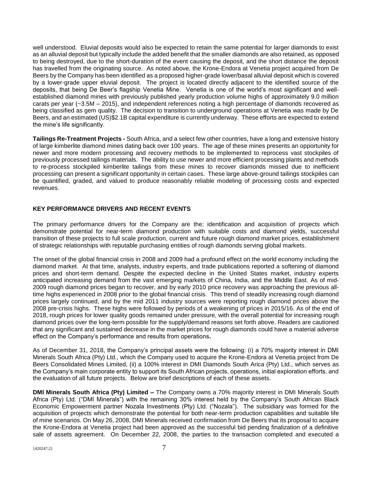well understood. Eluvial deposits would also be expected to retain the same potential for larger diamonds to exist as an alluvial deposit but typically include the added benefit that the smaller diamonds are also retained, as opposed to being destroyed, due to the short-duration of the event causing the deposit, and the short distance the deposit has travelled from the originating source. As noted above, the Krone-Endora at Venetia project acquired from De Beers by the Company has been identified as a proposed higher-grade lower/basal alluvial deposit which is covered by a lower-grade upper eluvial deposit. The project is located directly adjacent to the identified source of the deposits, that being De Beer's flagship Venetia Mine. Venetia is one of the world's most significant and wellestablished diamond mines with previously published yearly production volume highs of approximately 9.0 million carats per year (~3.5M – 2015), and independent references noting a high percentage of diamonds recovered as being classified as gem quality. The decision to transition to underground operations at Venetia was made by De Beers, and an estimated (US)\$2.1B capital expenditure is currently underway. These efforts are expected to extend the mine's life significantly.

**Tailings Re-Treatment Projects -** South Africa, and a select few other countries, have a long and extensive history of large kimberlite diamond mines dating back over 100 years. The age of these mines presents an opportunity for newer and more modern processing and recovery methods to be implemented to reprocess vast stockpiles of previously processed tailings materials. The ability to use newer and more efficient processing plants and methods to re-process stockpiled kimberlite tailings from these mines to recover diamonds missed due to inefficient processing can present a significant opportunity in certain cases. These large above-ground tailings stockpiles can be quantified, graded, and valued to produce reasonably reliable modeling of processing costs and expected revenues.

#### **KEY PERFORMANCE DRIVERS AND RECENT EVENTS**

The primary performance drivers for the Company are the; identification and acquisition of projects which demonstrate potential for near-term diamond production with suitable costs and diamond yields, successful transition of these projects to full scale production, current and future rough diamond market prices, establishment of strategic relationships with reputable purchasing entities of rough diamonds serving global markets.

The onset of the global financial crisis in 2008 and 2009 had a profound effect on the world economy including the diamond market. At that time, analysts, industry experts, and trade publications reported a softening of diamond prices and short-term demand. Despite the expected decline in the United States market, industry experts anticipated increasing demand from the vast emerging markets of China, India, and the Middle East. As of mid-2009 rough diamond prices began to recover, and by early 2010 price recovery was approaching the previous alltime highs experienced in 2008 prior to the global financial crisis. This trend of steadily increasing rough diamond prices largely continued, and by the mid 2011 industry sources were reporting rough diamond prices above the 2008 pre-crisis highs. These highs were followed by periods of a weakening of prices in 2015/16. As of the end of 2018, rough prices for lower quality goods remained under pressure, with the overall potential for increasing rough diamond prices over the long-term possible for the supply/demand reasons set forth above. Readers are cautioned that any significant and sustained decrease in the market prices for rough diamonds could have a material adverse effect on the Company's performance and results from operations**.**

As of December 31, 2018, the Company's principal assets were the following: (i) a 70% majority interest in DMI Minerals South Africa (Pty) Ltd., which the Company used to acquire the Krone-Endora at Venetia project from De Beers Consolidated Mines Limited, (ii) a 100% interest in DMI Diamonds South Arica (Pty) Ltd., which serves as the Company's main corporate entity to support its South African projects, operations, initial exploration efforts, and the evaluation of all future projects. Below are brief descriptions of each of these assets.

**DMI Minerals South Africa (Pty) Limited –** The Company owns a 70% majority interest in DMI Minerals South Africa (Pty) Ltd. ("DMI Minerals") with the remaining 30% interest held by the Company's South African Black Economic Empowerment partner Nozala Investments (Pty) Ltd. ("Nozala"). The subsidiary was formed for the acquisition of projects which demonstrate the potential for both near-term production capabilities and suitable life of mine scenarios. On May 26, 2008, DMI Minerals received confirmation from De Beers that its proposal to acquire the Krone-Endora at Venetia project had been approved as the successful bid pending finalization of a definitive sale of assets agreement. On December 22, 2008, the parties to the transaction completed and executed a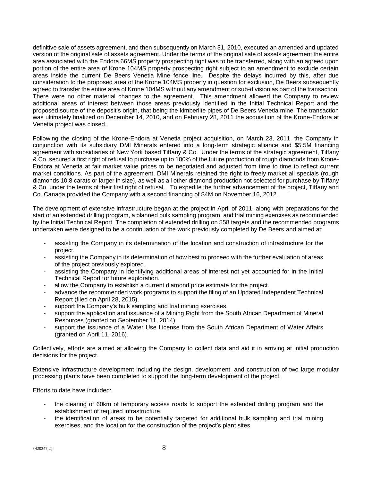definitive sale of assets agreement, and then subsequently on March 31, 2010, executed an amended and updated version of the original sale of assets agreement. Under the terms of the original sale of assets agreement the entire area associated with the Endora 66MS property prospecting right was to be transferred, along with an agreed upon portion of the entire area of Krone 104MS property prospecting right subject to an amendment to exclude certain areas inside the current De Beers Venetia Mine fence line. Despite the delays incurred by this, after due consideration to the proposed area of the Krone 104MS property in question for exclusion, De Beers subsequently agreed to transfer the entire area of Krone 104MS without any amendment or sub-division as part of the transaction. There were no other material changes to the agreement. This amendment allowed the Company to review additional areas of interest between those areas previously identified in the Initial Technical Report and the proposed source of the deposit's origin, that being the kimberlite pipes of De Beers Venetia mine. The transaction was ultimately finalized on December 14, 2010, and on February 28, 2011 the acquisition of the Krone-Endora at Venetia project was closed.

Following the closing of the Krone-Endora at Venetia project acquisition, on March 23, 2011, the Company in conjunction with its subsidiary DMI Minerals entered into a long-term strategic alliance and \$5.5M financing agreement with subsidiaries of New York based Tiffany & Co. Under the terms of the strategic agreement, Tiffany & Co. secured a first right of refusal to purchase up to 100% of the future production of rough diamonds from Krone-Endora at Venetia at fair market value prices to be negotiated and adjusted from time to time to reflect current market conditions. As part of the agreement, DMI Minerals retained the right to freely market all specials (rough diamonds 10.8 carats or larger in size), as well as all other diamond production not selected for purchase by Tiffany & Co. under the terms of their first right of refusal. To expedite the further advancement of the project, Tiffany and Co. Canada provided the Company with a second financing of \$4M on November 16, 2012.

The development of extensive infrastructure began at the project in April of 2011, along with preparations for the start of an extended drilling program, a planned bulk sampling program, and trial mining exercises as recommended by the Initial Technical Report. The completion of extended drilling on 558 targets and the recommended programs undertaken were designed to be a continuation of the work previously completed by De Beers and aimed at:

- assisting the Company in its determination of the location and construction of infrastructure for the project.
- assisting the Company in its determination of how best to proceed with the further evaluation of areas of the project previously explored.
- assisting the Company in identifying additional areas of interest not yet accounted for in the Initial Technical Report for future exploration.
- allow the Company to establish a current diamond price estimate for the project.
- advance the recommended work programs to support the filing of an Updated Independent Technical Report (filed on April 28, 2015).
- support the Company's bulk sampling and trial mining exercises.
- support the application and issuance of a Mining Right from the South African Department of Mineral Resources (granted on September 11, 2014).
- support the issuance of a Water Use License from the South African Department of Water Affairs (granted on April 11, 2016).

Collectively, efforts are aimed at allowing the Company to collect data and aid it in arriving at initial production decisions for the project.

Extensive infrastructure development including the design, development, and construction of two large modular processing plants have been completed to support the long-term development of the project.

Efforts to date have included:

- the clearing of 60km of temporary access roads to support the extended drilling program and the establishment of required infrastructure.
- the identification of areas to be potentially targeted for additional bulk sampling and trial mining exercises, and the location for the construction of the project's plant sites.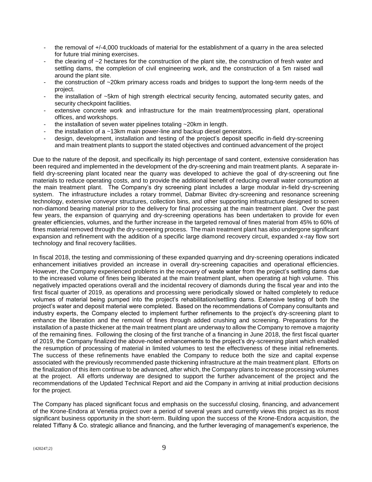- the removal of +/-4,000 truckloads of material for the establishment of a quarry in the area selected for future trial mining exercises.
- the clearing of  $\sim$ 2 hectares for the construction of the plant site, the construction of fresh water and settling dams, the completion of civil engineering work, and the construction of a 5m raised wall around the plant site.
- the construction of  $\sim$ 20km primary access roads and bridges to support the long-term needs of the project.
- the installation of ~5km of high strength electrical security fencing, automated security gates, and security checkpoint facilities.
- extensive concrete work and infrastructure for the main treatment/processing plant, operational offices, and workshops.
- the installation of seven water pipelines totaling  $\sim$  20km in length.
- the installation of a  $\sim$ 13km main power-line and backup diesel generators.
- design, development, installation and testing of the project's deposit specific in-field dry-screening and main treatment plants to support the stated objectives and continued advancement of the project

Due to the nature of the deposit, and specifically its high percentage of sand content, extensive consideration has been required and implemented in the development of the dry-screening and main treatment plants. A separate infield dry-screening plant located near the quarry was developed to achieve the goal of dry-screening out fine materials to reduce operating costs, and to provide the additional benefit of reducing overall water consumption at the main treatment plant. The Company's dry screening plant includes a large modular in-field dry-screening system. The infrastructure includes a rotary trommel, Dabmar Bivitec dry-screening and resonance screening technology, extensive conveyor structures, collection bins, and other supporting infrastructure designed to screen non-diamond bearing material prior to the delivery for final processing at the main treatment plant. Over the past few years, the expansion of quarrying and dry-screening operations has been undertaken to provide for even greater efficiencies, volumes, and the further increase in the targeted removal of fines material from 45% to 60% of fines material removed through the dry-screening process. The main treatment plant has also undergone significant expansion and refinement with the addition of a specific large diamond recovery circuit, expanded x-ray flow sort technology and final recovery facilities.

In fiscal 2018, the testing and commissioning of these expanded quarrying and dry-screening operations indicated enhancement initiatives provided an increase in overall dry-screening capacities and operational efficiencies. However, the Company experienced problems in the recovery of waste water from the project's settling dams due to the increased volume of fines being liberated at the main treatment plant, when operating at high volume. This negatively impacted operations overall and the incidental recovery of diamonds during the fiscal year and into the first fiscal quarter of 2019, as operations and processing were periodically slowed or halted completely to reduce volumes of material being pumped into the project's rehabilitation/settling dams. Extensive testing of both the project's water and deposit material were completed. Based on the recommendations of Company consultants and industry experts, the Company elected to implement further refinements to the project's dry-screening plant to enhance the liberation and the removal of fines through added crushing and screening. Preparations for the installation of a paste thickener at the main treatment plant are underway to allow the Company to remove a majority of the remaining fines. Following the closing of the first tranche of a financing in June 2018, the first fiscal quarter of 2019, the Company finalized the above-noted enhancements to the project's dry-screening plant which enabled the resumption of processing of material in limited volumes to test the effectiveness of these initial refinements. The success of these refinements have enabled the Company to reduce both the size and capital expense associated with the previously recommended paste thickening infrastructure at the main treatment plant. Efforts on the finalization of this item continue to be advanced, after which, the Company plans to increase processing volumes at the project. All efforts underway are designed to support the further advancement of the project and the recommendations of the Updated Technical Report and aid the Company in arriving at initial production decisions for the project.

The Company has placed significant focus and emphasis on the successful closing, financing, and advancement of the Krone-Endora at Venetia project over a period of several years and currently views this project as its most significant business opportunity in the short-term. Building upon the success of the Krone-Endora acquisition, the related Tiffany & Co. strategic alliance and financing, and the further leveraging of management's experience, the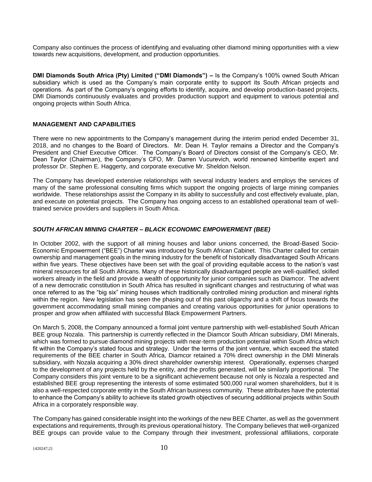Company also continues the process of identifying and evaluating other diamond mining opportunities with a view towards new acquisitions, development, and production opportunities.

**DMI Diamonds South Africa (Pty) Limited ("DMI Diamonds") –** Is the Company's 100% owned South African subsidiary which is used as the Company's main corporate entity to support its South African projects and operations. As part of the Company's ongoing efforts to identify, acquire, and develop production-based projects, DMI Diamonds continuously evaluates and provides production support and equipment to various potential and ongoing projects within South Africa.

#### **MANAGEMENT AND CAPABILITIES**

There were no new appointments to the Company's management during the interim period ended December 31, 2018, and no changes to the Board of Directors. Mr. Dean H. Taylor remains a Director and the Company's President and Chief Executive Officer. The Company's Board of Directors consist of the Company's CEO, Mr. Dean Taylor (Chairman), the Company's CFO, Mr. Darren Vucurevich, world renowned kimberlite expert and professor Dr. Stephen E. Haggerty, and corporate executive Mr. Sheldon Nelson.

The Company has developed extensive relationships with several industry leaders and employs the services of many of the same professional consulting firms which support the ongoing projects of large mining companies worldwide. These relationships assist the Company in its ability to successfully and cost effectively evaluate, plan, and execute on potential projects. The Company has ongoing access to an established operational team of welltrained service providers and suppliers in South Africa.

#### *SOUTH AFRICAN MINING CHARTER – BLACK ECONOMIC EMPOWERMENT (BEE)*

In October 2002, with the support of all mining houses and labor unions concerned, the Broad-Based Socio-Economic Empowerment ("BEE") Charter was introduced by South African Cabinet. This Charter called for certain ownership and management goals in the mining industry for the benefit of historically disadvantaged South Africans within five years. These objectives have been set with the goal of providing equitable access to the nation's vast mineral resources for all South Africans. Many of these historically disadvantaged people are well-qualified, skilled workers already in the field and provide a wealth of opportunity for junior companies such as Diamcor. The advent of a new democratic constitution in South Africa has resulted in significant changes and restructuring of what was once referred to as the "big six" mining houses which traditionally controlled mining production and mineral rights within the region. New legislation has seen the phasing out of this past oligarchy and a shift of focus towards the government accommodating small mining companies and creating various opportunities for junior operations to prosper and grow when affiliated with successful Black Empowerment Partners.

On March 5, 2008, the Company announced a formal joint venture partnership with well-established South African BEE group Nozala. This partnership is currently reflected in the Diamcor South African subsidiary, DMI Minerals, which was formed to pursue diamond mining projects with near-term production potential within South Africa which fit within the Company's stated focus and strategy. Under the terms of the joint venture, which exceed the stated requirements of the BEE charter in South Africa, Diamcor retained a 70% direct ownership in the DMI Minerals subsidiary, with Nozala acquiring a 30% direct shareholder ownership interest. Operationally, expenses charged to the development of any projects held by the entity, and the profits generated, will be similarly proportional. The Company considers this joint venture to be a significant achievement because not only is Nozala a respected and established BEE group representing the interests of some estimated 500,000 rural women shareholders, but it is also a well-respected corporate entity in the South African business community. These attributes have the potential to enhance the Company's ability to achieve its stated growth objectives of securing additional projects within South Africa in a corporately responsible way.

The Company has gained considerable insight into the workings of the new BEE Charter, as well as the government expectations and requirements, through its previous operational history. The Company believes that well-organized BEE groups can provide value to the Company through their investment, professional affiliations, corporate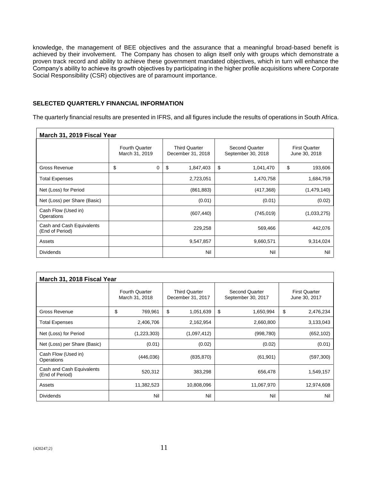knowledge, the management of BEE objectives and the assurance that a meaningful broad-based benefit is achieved by their involvement. The Company has chosen to align itself only with groups which demonstrate a proven track record and ability to achieve these government mandated objectives, which in turn will enhance the Company's ability to achieve its growth objectives by participating in the higher profile acquisitions where Corporate Social Responsibility (CSR) objectives are of paramount importance.

#### **SELECTED QUARTERLY FINANCIAL INFORMATION**

The quarterly financial results are presented in IFRS, and all figures include the results of operations in South Africa.

| March 31, 2019 Fiscal Year                   |                                         |                                           |                                      |                                       |  |  |  |  |
|----------------------------------------------|-----------------------------------------|-------------------------------------------|--------------------------------------|---------------------------------------|--|--|--|--|
|                                              | <b>Fourth Quarter</b><br>March 31, 2019 | <b>Third Quarter</b><br>December 31, 2018 | Second Quarter<br>September 30, 2018 | <b>First Quarter</b><br>June 30, 2018 |  |  |  |  |
| Gross Revenue                                | \$<br>0                                 | \$<br>1,847,403                           | \$<br>1,041,470                      | \$<br>193,606                         |  |  |  |  |
| <b>Total Expenses</b>                        |                                         | 2,723,051                                 | 1,470,758                            | 1,684,759                             |  |  |  |  |
| Net (Loss) for Period                        |                                         | (861, 883)                                | (417, 368)                           | (1,479,140)                           |  |  |  |  |
| Net (Loss) per Share (Basic)                 |                                         | (0.01)                                    | (0.01)                               | (0.02)                                |  |  |  |  |
| Cash Flow (Used in)<br>Operations            |                                         | (607, 440)                                | (745, 019)                           | (1,033,275)                           |  |  |  |  |
| Cash and Cash Equivalents<br>(End of Period) |                                         | 229,258                                   | 569,466                              | 442,076                               |  |  |  |  |
| Assets                                       |                                         | 9,547,857                                 | 9,660,571                            | 9,314,024                             |  |  |  |  |
| <b>Dividends</b>                             |                                         | Nil                                       | Nil                                  | Nil                                   |  |  |  |  |

| March 31, 2018 Fiscal Year                   |                                         |                                           |                                             |                                       |  |  |  |  |
|----------------------------------------------|-----------------------------------------|-------------------------------------------|---------------------------------------------|---------------------------------------|--|--|--|--|
|                                              | <b>Fourth Quarter</b><br>March 31, 2018 | <b>Third Quarter</b><br>December 31, 2017 | <b>Second Quarter</b><br>September 30, 2017 | <b>First Quarter</b><br>June 30, 2017 |  |  |  |  |
| <b>Gross Revenue</b>                         | \$<br>769,961                           | \$<br>1,051,639                           | \$<br>1,650,994                             | \$<br>2,476,234                       |  |  |  |  |
| <b>Total Expenses</b>                        | 2,406,706                               | 2,162,954                                 | 2,660,800                                   | 3,133,043                             |  |  |  |  |
| Net (Loss) for Period                        | (1,223,303)                             | (1,097,412)                               | (998, 780)                                  | (652, 102)                            |  |  |  |  |
| Net (Loss) per Share (Basic)                 | (0.01)                                  | (0.02)                                    | (0.02)                                      | (0.01)                                |  |  |  |  |
| Cash Flow (Used in)<br>Operations            | (446, 036)                              | (835, 870)                                | (61, 901)                                   | (597, 300)                            |  |  |  |  |
| Cash and Cash Equivalents<br>(End of Period) | 520,312                                 | 383,298                                   | 656,478                                     | 1,549,157                             |  |  |  |  |
| Assets                                       | 11,382,523                              | 10,808,096                                | 11,067,970                                  | 12,974,608                            |  |  |  |  |
| <b>Dividends</b>                             | Nil                                     | Nil                                       | Nil                                         | Nil                                   |  |  |  |  |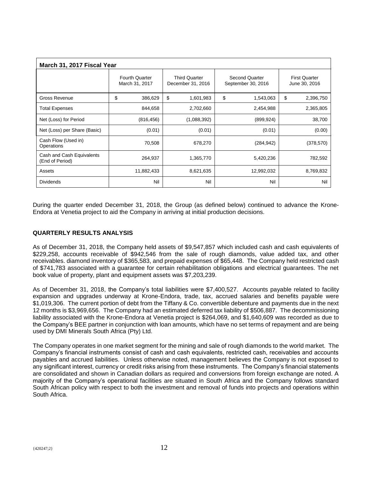| March 31, 2017 Fiscal Year                   |                                         |            |                                           |             |                                      |            |    |                                       |
|----------------------------------------------|-----------------------------------------|------------|-------------------------------------------|-------------|--------------------------------------|------------|----|---------------------------------------|
|                                              | <b>Fourth Quarter</b><br>March 31, 2017 |            | <b>Third Quarter</b><br>December 31, 2016 |             | Second Quarter<br>September 30, 2016 |            |    | <b>First Quarter</b><br>June 30, 2016 |
| Gross Revenue                                | \$                                      | 386,629    | \$                                        | 1,601,983   | \$                                   | 1,543,063  | \$ | 2,396,750                             |
| <b>Total Expenses</b>                        |                                         | 844,658    |                                           | 2,702,660   |                                      | 2,454,988  |    | 2,365,805                             |
| Net (Loss) for Period                        |                                         | (816, 456) |                                           | (1,088,392) |                                      | (899, 924) |    | 38,700                                |
| Net (Loss) per Share (Basic)                 |                                         | (0.01)     |                                           | (0.01)      |                                      | (0.01)     |    | (0.00)                                |
| Cash Flow (Used in)<br>Operations            |                                         | 70,508     |                                           | 678,270     |                                      | (284, 942) |    | (378, 570)                            |
| Cash and Cash Equivalents<br>(End of Period) |                                         | 264,937    |                                           | 1,365,770   |                                      | 5,420,236  |    | 782,592                               |
| Assets                                       |                                         | 11,882,433 |                                           | 8,621,635   |                                      | 12,992,032 |    | 8,769,832                             |
| <b>Dividends</b>                             |                                         | Nil        |                                           | Nil         |                                      | Nil        |    | Nil                                   |

During the quarter ended December 31, 2018, the Group (as defined below) continued to advance the Krone-Endora at Venetia project to aid the Company in arriving at initial production decisions.

#### **QUARTERLY RESULTS ANALYSIS**

As of December 31, 2018, the Company held assets of \$9,547,857 which included cash and cash equivalents of \$229,258, accounts receivable of \$942,546 from the sale of rough diamonds, value added tax, and other receivables. diamond inventory of \$365,583, and prepaid expenses of \$65,448. The Company held restricted cash of \$741,783 associated with a guarantee for certain rehabilitation obligations and electrical guarantees. The net book value of property, plant and equipment assets was \$7,203,239.

As of December 31, 2018, the Company's total liabilities were \$7,400,527. Accounts payable related to facility expansion and upgrades underway at Krone-Endora, trade, tax, accrued salaries and benefits payable were \$1,019,306. The current portion of debt from the Tiffany & Co. convertible debenture and payments due in the next 12 months is \$3,969,656. The Company had an estimated deferred tax liability of \$506,887. The decommissioning liability associated with the Krone-Endora at Venetia project is \$264,069, and \$1,640,609 was recorded as due to the Company's BEE partner in conjunction with loan amounts, which have no set terms of repayment and are being used by DMI Minerals South Africa (Pty) Ltd.

The Company operates in one market segment for the mining and sale of rough diamonds to the world market. The Company's financial instruments consist of cash and cash equivalents, restricted cash, receivables and accounts payables and accrued liabilities. Unless otherwise noted, management believes the Company is not exposed to any significant interest, currency or credit risks arising from these instruments. The Company's financial statements are consolidated and shown in Canadian dollars as required and conversions from foreign exchange are noted. A majority of the Company's operational facilities are situated in South Africa and the Company follows standard South African policy with respect to both the investment and removal of funds into projects and operations within South Africa.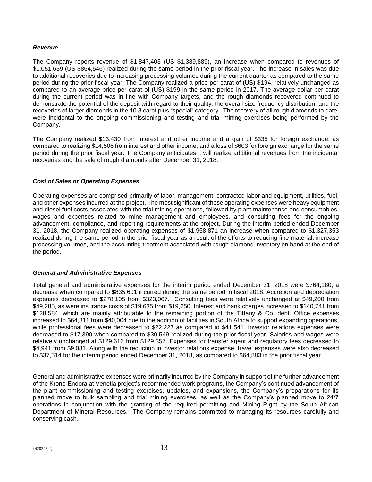#### *Revenue*

The Company reports revenue of \$1,847,403 (US \$1,389,889), an increase when compared to revenues of \$1,051,639 (US \$864,546) realized during the same period in the prior fiscal year. The increase in sales was due to additional recoveries due to increasing processing volumes during the current quarter as compared to the same period during the prior fiscal year. The Company realized a price per carat of (US) \$194, relatively unchanged as compared to an average price per carat of (US) \$199 in the same period in 2017. The average dollar per carat during the current period was in line with Company targets, and the rough diamonds recovered continued to demonstrate the potential of the deposit with regard to their quality, the overall size frequency distribution, and the recoveries of larger diamonds in the 10.8 carat plus "special" category. The recovery of all rough diamonds to date, were incidental to the ongoing commissioning and testing and trial mining exercises being performed by the Company.

The Company realized \$13,430 from interest and other income and a gain of \$335 for foreign exchange, as compared to realizing \$14,506 from interest and other income, and a loss of \$603 for foreign exchange for the same period during the prior fiscal year. The Company anticipates it will realize additional revenues from the incidental recoveries and the sale of rough diamonds after December 31, 2018.

#### *Cost of Sales or Operating Expenses*

Operating expenses are comprised primarily of labor, management, contracted labor and equipment, utilities, fuel, and other expenses incurred at the project. The most significant of these operating expenses were heavy equipment and diesel fuel costs associated with the trial mining operations, followed by plant maintenance and consumables, wages and expenses related to mine management and employees, and consulting fees for the ongoing advancement, compliance, and reporting requirements at the project. During the interim period ended December 31, 2018, the Company realized operating expenses of \$1,958,871 an increase when compared to \$1,327,353 realized during the same period in the prior fiscal year as a result of the efforts to reducing fine material, increase processing volumes, and the accounting treatment associated with rough diamond inventory on hand at the end of the period.

#### *General and Administrative Expenses*

Total general and administrative expenses for the interim period ended December 31, 2018 were \$764,180, a decrease when compared to \$835,601 incurred during the same period in fiscal 2018. Accretion and depreciation expenses decreased to \$278,105 from \$323,067. Consulting fees were relatively unchanged at \$49,200 from \$49,285, as were insurance costs of \$19,635 from \$19,250. Interest and bank charges increased to \$140,741 from \$128,584, which are mainly attributable to the remaining portion of the Tiffany & Co. debt. Office expenses increased to \$64,811 from \$40,004 due to the addition of facilities in South Africa to support expanding operations, while professional fees were decreased to \$22,227 as compared to \$41,541. Investor relations expenses were decreased to \$17,390 when compared to \$30,549 realized during the prior fiscal year. Salaries and wages were relatively unchanged at \$129,616 from \$129,357. Expenses for transfer agent and regulatory fees decreased to \$4,941 from \$9,081. Along with the reduction in investor relations expense, travel expenses were also decreased to \$37,514 for the interim period ended December 31, 2018, as compared to \$64,883 in the prior fiscal year.

General and administrative expenses were primarily incurred by the Company in support of the further advancement of the Krone-Endora at Venetia project's recommended work programs, the Company's continued advancement of the plant commissioning and testing exercises, updates, and expansions, the Company's preparations for its planned move to bulk sampling and trial mining exercises, as well as the Company's planned move to 24/7 operations in conjunction with the granting of the required permitting and Mining Right by the South African Department of Mineral Resources. The Company remains committed to managing its resources carefully and conserving cash.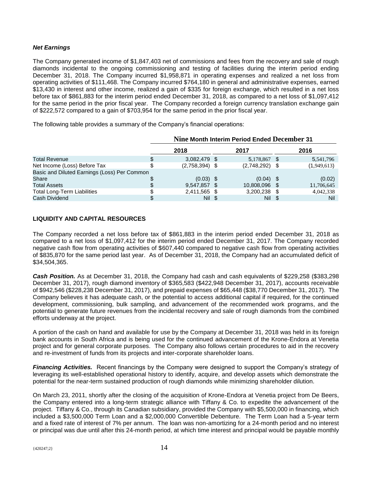#### *Net Earnings*

The Company generated income of \$1,847,403 net of commissions and fees from the recovery and sale of rough diamonds incidental to the ongoing commissioning and testing of facilities during the interim period ending December 31, 2018. The Company incurred \$1,958,871 in operating expenses and realized a net loss from operating activities of \$111,468. The Company incurred \$764,180 in general and administrative expenses, earned \$13,430 in interest and other income, realized a gain of \$335 for foreign exchange, which resulted in a net loss before tax of \$861,883 for the interim period ended December 31, 2018, as compared to a net loss of \$1,097,412 for the same period in the prior fiscal year. The Company recorded a foreign currency translation exchange gain of \$222,572 compared to a gain of \$703,954 for the same period in the prior fiscal year.

The following table provides a summary of the Company's financial operations:

|                                              | Nine Month Interim Period Ended December 31 |  |                  |  |             |  |
|----------------------------------------------|---------------------------------------------|--|------------------|--|-------------|--|
|                                              | 2018                                        |  | 2017             |  | 2016        |  |
| <b>Total Revenue</b>                         | \$<br>3,082,479 \$                          |  | 5,178,867 \$     |  | 5,541,796   |  |
| Net Income (Loss) Before Tax                 | $(2,758,394)$ \$                            |  | $(2,748,292)$ \$ |  | (1,949,613) |  |
| Basic and Diluted Earnings (Loss) Per Common |                                             |  |                  |  |             |  |
| Share                                        | $(0.03)$ \$                                 |  | $(0.04)$ \$      |  | (0.02)      |  |
| <b>Total Assets</b>                          | 9,547,857 \$                                |  | 10,808,096 \$    |  | 11,706,645  |  |
| <b>Total Long-Term Liabilities</b>           | 2,411,565 \$                                |  | 3,200,238 \$     |  | 4,042,338   |  |
| Cash Dividend                                | Nil \$                                      |  | Nil \$           |  | Nil         |  |

#### **LIQUIDITY AND CAPITAL RESOURCES**

The Company recorded a net loss before tax of \$861,883 in the interim period ended December 31, 2018 as compared to a net loss of \$1,097,412 for the interim period ended December 31, 2017. The Company recorded negative cash flow from operating activities of \$607,440 compared to negative cash flow from operating activities of \$835,870 for the same period last year. As of December 31, 2018, the Company had an accumulated deficit of \$34,504,365.

*Cash Position.* As at December 31, 2018, the Company had cash and cash equivalents of \$229,258 (\$383,298 December 31, 2017), rough diamond inventory of \$365,583 (\$422,948 December 31, 2017), accounts receivable of \$942,546 (\$228,238 December 31, 2017), and prepaid expenses of \$65,448 (\$38,770 December 31, 2017). The Company believes it has adequate cash, or the potential to access additional capital if required, for the continued development, commissioning, bulk sampling, and advancement of the recommended work programs, and the potential to generate future revenues from the incidental recovery and sale of rough diamonds from the combined efforts underway at the project.

A portion of the cash on hand and available for use by the Company at December 31, 2018 was held in its foreign bank accounts in South Africa and is being used for the continued advancement of the Krone-Endora at Venetia project and for general corporate purposes. The Company also follows certain procedures to aid in the recovery and re-investment of funds from its projects and inter-corporate shareholder loans.

*Financing Activities.* Recent financings by the Company were designed to support the Company's strategy of leveraging its well-established operational history to identify, acquire, and develop assets which demonstrate the potential for the near-term sustained production of rough diamonds while minimizing shareholder dilution.

On March 23, 2011, shortly after the closing of the acquisition of Krone-Endora at Venetia project from De Beers, the Company entered into a long-term strategic alliance with Tiffany & Co. to expedite the advancement of the project. Tiffany & Co., through its Canadian subsidiary, provided the Company with \$5,500,000 in financing, which included a \$3,500,000 Term Loan and a \$2,000,000 Convertible Debenture. The Term Loan had a 5-year term and a fixed rate of interest of 7% per annum. The loan was non-amortizing for a 24-month period and no interest or principal was due until after this 24-month period, at which time interest and principal would be payable monthly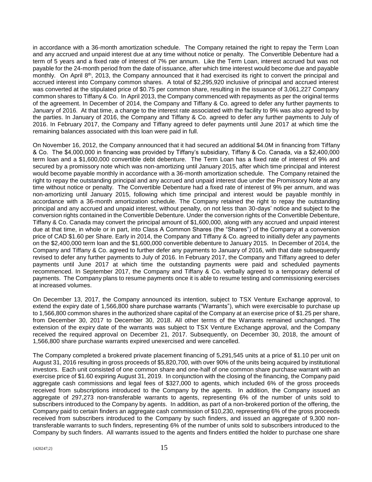in accordance with a 36-month amortization schedule. The Company retained the right to repay the Term Loan and any accrued and unpaid interest due at any time without notice or penalty. The Convertible Debenture had a term of 5 years and a fixed rate of interest of 7% per annum. Like the Term Loan, interest accrued but was not payable for the 24-month period from the date of issuance, after which time interest would become due and payable monthly. On April 8th, 2013, the Company announced that it had exercised its right to convert the principal and accrued interest into Company common shares. A total of \$2,295,920 inclusive of principal and accrued interest was converted at the stipulated price of \$0.75 per common share, resulting in the issuance of 3,061,227 Company common shares to Tiffany & Co. In April 2013, the Company commenced with repayments as per the original terms of the agreement. In December of 2014, the Company and Tiffany & Co. agreed to defer any further payments to January of 2016. At that time, a change to the interest rate associated with the facility to 9% was also agreed to by the parties. In January of 2016, the Company and Tiffany & Co. agreed to defer any further payments to July of 2016. In February 2017, the Company and Tiffany agreed to defer payments until June 2017 at which time the remaining balances associated with this loan were paid in full.

On November 16, 2012, the Company announced that it had secured an additional \$4.0M in financing from Tiffany & Co. The \$4,000,000 in financing was provided by Tiffany's subsidiary, Tiffany & Co. Canada, via a \$2,400,000 term loan and a \$1,600,000 convertible debt debenture. The Term Loan has a fixed rate of interest of 9% and secured by a promissory note which was non-amortizing until January 2015, after which time principal and interest would become payable monthly in accordance with a 36-month amortization schedule. The Company retained the right to repay the outstanding principal and any accrued and unpaid interest due under the Promissory Note at any time without notice or penalty. The Convertible Debenture had a fixed rate of interest of 9% per annum, and was non-amortizing until January 2015, following which time principal and interest would be payable monthly in accordance with a 36-month amortization schedule. The Company retained the right to repay the outstanding principal and any accrued and unpaid interest, without penalty, on not less than 30-days' notice and subject to the conversion rights contained in the Convertible Debenture. Under the conversion rights of the Convertible Debenture, Tiffany & Co. Canada may convert the principal amount of \$1,600,000, along with any accrued and unpaid interest due at that time, in whole or in part, into Class A Common Shares (the "Shares") of the Company at a conversion price of CAD \$1.60 per Share. Early in 2014, the Company and Tiffany & Co. agreed to initially defer any payments on the \$2,400,000 term loan and the \$1,600,000 convertible debenture to January 2015. In December of 2014, the Company and Tiffany & Co. agreed to further defer any payments to January of 2016, with that date subsequently revised to defer any further payments to July of 2016. In February 2017, the Company and Tiffany agreed to defer payments until June 2017 at which time the outstanding payments were paid and scheduled payments recommenced. In September 2017, the Company and Tiffany & Co. verbally agreed to a temporary deferral of payments. The Company plans to resume payments once it is able to resume testing and commissioning exercises at increased volumes.

On December 13, 2017, the Company announced its intention, subject to TSX Venture Exchange approval, to extend the expiry date of 1,566,800 share purchase warrants ("Warrants"), which were exercisable to purchase up to 1,566,800 common shares in the authorized share capital of the Company at an exercise price of \$1.25 per share, from December 30, 2017 to December 30, 2018. All other terms of the Warrants remained unchanged. The extension of the expiry date of the warrants was subject to TSX Venture Exchange approval, and the Company received the required approval on December 21, 2017. Subsequently, on December 30, 2018, the amount of 1,566,800 share purchase warrants expired unexercised and were cancelled.

The Company completed a brokered private placement financing of 5,291,545 units at a price of \$1.10 per unit on August 31, 2016 resulting in gross proceeds of \$5,820,700, with over 90% of the units being acquired by institutional investors. Each unit consisted of one common share and one-half of one common share purchase warrant with an exercise price of \$1.60 expiring August 31, 2019. In conjunction with the closing of the financing, the Company paid aggregate cash commissions and legal fees of \$327,000 to agents, which included 6% of the gross proceeds received from subscriptions introduced to the Company by the agents. In addition, the Company issued an aggregate of 297,273 non-transferable warrants to agents, representing 6% of the number of units sold to subscribers introduced to the Company by agents. In addition, as part of a non-brokered portion of the offering, the Company paid to certain finders an aggregate cash commission of \$10,230, representing 6% of the gross proceeds received from subscribers introduced to the Company by such finders, and issued an aggregate of 9,300 nontransferable warrants to such finders, representing 6% of the number of units sold to subscribers introduced to the Company by such finders. All warrants issued to the agents and finders entitled the holder to purchase one share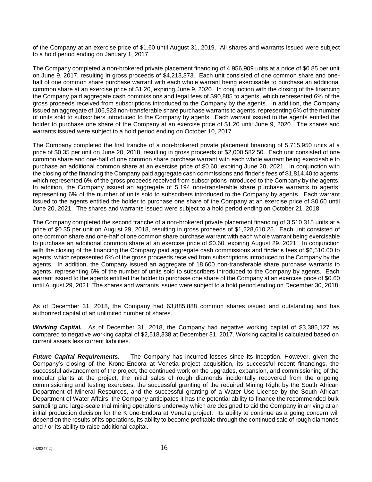of the Company at an exercise price of \$1.60 until August 31, 2019. All shares and warrants issued were subject to a hold period ending on January 1, 2017.

The Company completed a non-brokered private placement financing of 4,956,909 units at a price of \$0.85 per unit on June 9, 2017, resulting in gross proceeds of \$4,213,373. Each unit consisted of one common share and onehalf of one common share purchase warrant with each whole warrant being exercisable to purchase an additional common share at an exercise price of \$1.20, expiring June 9, 2020. In conjunction with the closing of the financing the Company paid aggregate cash commissions and legal fees of \$90,885 to agents, which represented 6% of the gross proceeds received from subscriptions introduced to the Company by the agents. In addition, the Company issued an aggregate of 106,923 non-transferable share purchase warrants to agents, representing 6% of the number of units sold to subscribers introduced to the Company by agents. Each warrant issued to the agents entitled the holder to purchase one share of the Company at an exercise price of \$1.20 until June 9, 2020. The shares and warrants issued were subject to a hold period ending on October 10, 2017.

The Company completed the first tranche of a non-brokered private placement financing of 5,715,950 units at a price of \$0.35 per unit on June 20, 2018, resulting in gross proceeds of \$2,000,582.50. Each unit consisted of one common share and one-half of one common share purchase warrant with each whole warrant being exercisable to purchase an additional common share at an exercise price of \$0.60, expiring June 20, 2021. In conjunction with the closing of the financing the Company paid aggregate cash commissions and finder's fees of \$1,814.40 to agents, which represented 6% of the gross proceeds received from subscriptions introduced to the Company by the agents. In addition, the Company issued an aggregate of 5,194 non-transferable share purchase warrants to agents, representing 6% of the number of units sold to subscribers introduced to the Company by agents. Each warrant issued to the agents entitled the holder to purchase one share of the Company at an exercise price of \$0.60 until June 20, 2021. The shares and warrants issued were subject to a hold period ending on October 21, 2018.

The Company completed the second tranche of a non-brokered private placement financing of 3,510,315 units at a price of \$0.35 per unit on August 29, 2018, resulting in gross proceeds of \$1,228,610.25. Each unit consisted of one common share and one-half of one common share purchase warrant with each whole warrant being exercisable to purchase an additional common share at an exercise price of \$0.60, expiring August 29, 2021. In conjunction with the closing of the financing the Company paid aggregate cash commissions and finder's fees of \$6,510.00 to agents, which represented 6% of the gross proceeds received from subscriptions introduced to the Company by the agents. In addition, the Company issued an aggregate of 18,600 non-transferable share purchase warrants to agents, representing 6% of the number of units sold to subscribers introduced to the Company by agents. Each warrant issued to the agents entitled the holder to purchase one share of the Company at an exercise price of \$0.60 until August 29, 2021. The shares and warrants issued were subject to a hold period ending on December 30, 2018.

As of December 31, 2018, the Company had 63,885,888 common shares issued and outstanding and has authorized capital of an unlimited number of shares.

*Working Capital.* As of December 31, 2018, the Company had negative working capital of \$3,386,127 as compared to negative working capital of \$2,518,338 at December 31, 2017. Working capital is calculated based on current assets less current liabilities.

*Future Capital Requirements.* The Company has incurred losses since its inception. However, given the Company's closing of the Krone-Endora at Venetia project acquisition, its successful recent financings, the successful advancement of the project, the continued work on the upgrades, expansion, and commissioning of the modular plants at the project, the initial sales of rough diamonds incidentally recovered from the ongoing commissioning and testing exercises, the successful granting of the required Mining Right by the South African Department of Mineral Resources, and the successful granting of a Water Use License by the South African Department of Water Affairs, the Company anticipates it has the potential ability to finance the recommended bulk sampling and large-scale trial mining operations underway which are designed to aid the Company in arriving at an initial production decision for the Krone-Endora at Venetia project. Its ability to continue as a going concern will depend on the results of its operations, its ability to become profitable through the continued sale of rough diamonds and / or its ability to raise additional capital.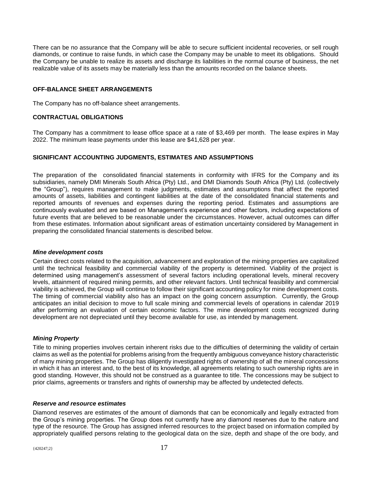There can be no assurance that the Company will be able to secure sufficient incidental recoveries, or sell rough diamonds, or continue to raise funds, in which case the Company may be unable to meet its obligations. Should the Company be unable to realize its assets and discharge its liabilities in the normal course of business, the net realizable value of its assets may be materially less than the amounts recorded on the balance sheets.

#### **OFF-BALANCE SHEET ARRANGEMENTS**

The Company has no off-balance sheet arrangements.

#### **CONTRACTUAL OBLIGATIONS**

The Company has a commitment to lease office space at a rate of \$3,469 per month. The lease expires in May 2022. The minimum lease payments under this lease are \$41,628 per year.

#### **SIGNIFICANT ACCOUNTING JUDGMENTS, ESTIMATES AND ASSUMPTIONS**

The preparation of the consolidated financial statements in conformity with IFRS for the Company and its subsidiaries, namely DMI Minerals South Africa (Pty) Ltd., and DMI Diamonds South Africa (Pty) Ltd. (collectively the "Group"), requires management to make judgments, estimates and assumptions that affect the reported amounts of assets, liabilities and contingent liabilities at the date of the consolidated financial statements and reported amounts of revenues and expenses during the reporting period. Estimates and assumptions are continuously evaluated and are based on Management's experience and other factors, including expectations of future events that are believed to be reasonable under the circumstances. However, actual outcomes can differ from these estimates. Information about significant areas of estimation uncertainty considered by Management in preparing the consolidated financial statements is described below.

#### *Mine development costs*

Certain direct costs related to the acquisition, advancement and exploration of the mining properties are capitalized until the technical feasibility and commercial viability of the property is determined. Viability of the project is determined using management's assessment of several factors including operational levels, mineral recovery levels, attainment of required mining permits, and other relevant factors. Until technical feasibility and commercial viability is achieved, the Group will continue to follow their significant accounting policy for mine development costs. The timing of commercial viability also has an impact on the going concern assumption. Currently, the Group anticipates an initial decision to move to full scale mining and commercial levels of operations in calendar 2019 after performing an evaluation of certain economic factors. The mine development costs recognized during development are not depreciated until they become available for use, as intended by management.

#### *Mining Property*

Title to mining properties involves certain inherent risks due to the difficulties of determining the validity of certain claims as well as the potential for problems arising from the frequently ambiguous conveyance history characteristic of many mining properties. The Group has diligently investigated rights of ownership of all the mineral concessions in which it has an interest and, to the best of its knowledge, all agreements relating to such ownership rights are in good standing. However, this should not be construed as a guarantee to title. The concessions may be subject to prior claims, agreements or transfers and rights of ownership may be affected by undetected defects.

#### *Reserve and resource estimates*

Diamond reserves are estimates of the amount of diamonds that can be economically and legally extracted from the Group's mining properties. The Group does not currently have any diamond reserves due to the nature and type of the resource. The Group has assigned inferred resources to the project based on information compiled by appropriately qualified persons relating to the geological data on the size, depth and shape of the ore body, and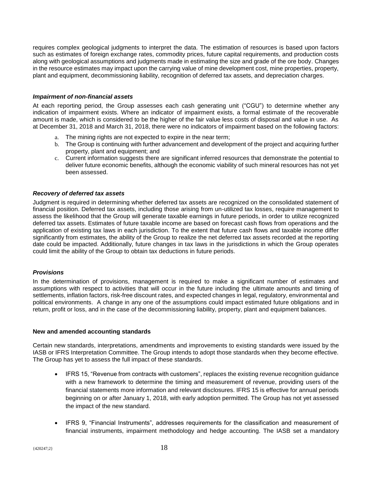requires complex geological judgments to interpret the data. The estimation of resources is based upon factors such as estimates of foreign exchange rates, commodity prices, future capital requirements, and production costs along with geological assumptions and judgments made in estimating the size and grade of the ore body. Changes in the resource estimates may impact upon the carrying value of mine development cost, mine properties, property, plant and equipment, decommissioning liability, recognition of deferred tax assets, and depreciation charges.

#### *Impairment of non-financial assets*

At each reporting period, the Group assesses each cash generating unit ("CGU") to determine whether any indication of impairment exists. Where an indicator of impairment exists, a formal estimate of the recoverable amount is made, which is considered to be the higher of the fair value less costs of disposal and value in use. As at December 31, 2018 and March 31, 2018, there were no indicators of impairment based on the following factors:

- a. The mining rights are not expected to expire in the near term;
- b. The Group is continuing with further advancement and development of the project and acquiring further property, plant and equipment; and
- c. Current information suggests there are significant inferred resources that demonstrate the potential to deliver future economic benefits, although the economic viability of such mineral resources has not yet been assessed.

#### *Recovery of deferred tax assets*

Judgment is required in determining whether deferred tax assets are recognized on the consolidated statement of financial position. Deferred tax assets, including those arising from un-utilized tax losses, require management to assess the likelihood that the Group will generate taxable earnings in future periods, in order to utilize recognized deferred tax assets. Estimates of future taxable income are based on forecast cash flows from operations and the application of existing tax laws in each jurisdiction. To the extent that future cash flows and taxable income differ significantly from estimates, the ability of the Group to realize the net deferred tax assets recorded at the reporting date could be impacted. Additionally, future changes in tax laws in the jurisdictions in which the Group operates could limit the ability of the Group to obtain tax deductions in future periods.

#### *Provisions*

In the determination of provisions, management is required to make a significant number of estimates and assumptions with respect to activities that will occur in the future including the ultimate amounts and timing of settlements, inflation factors, risk-free discount rates, and expected changes in legal, regulatory, environmental and political environments. A change in any one of the assumptions could impact estimated future obligations and in return, profit or loss, and in the case of the decommissioning liability, property, plant and equipment balances.

#### **New and amended accounting standards**

Certain new standards, interpretations, amendments and improvements to existing standards were issued by the IASB or IFRS Interpretation Committee. The Group intends to adopt those standards when they become effective. The Group has yet to assess the full impact of these standards.

- IFRS 15, "Revenue from contracts with customers", replaces the existing revenue recognition guidance with a new framework to determine the timing and measurement of revenue, providing users of the financial statements more information and relevant disclosures. IFRS 15 is effective for annual periods beginning on or after January 1, 2018, with early adoption permitted. The Group has not yet assessed the impact of the new standard.
- IFRS 9, "Financial Instruments", addresses requirements for the classification and measurement of financial instruments, impairment methodology and hedge accounting. The IASB set a mandatory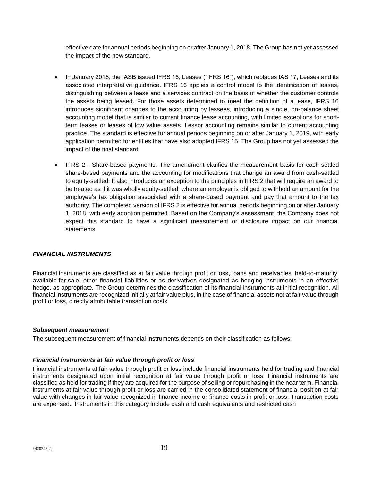effective date for annual periods beginning on or after January 1, 2018. The Group has not yet assessed the impact of the new standard.

- In January 2016, the IASB issued IFRS 16, Leases ("IFRS 16"), which replaces IAS 17, Leases and its associated interpretative guidance. IFRS 16 applies a control model to the identification of leases, distinguishing between a lease and a services contract on the basis of whether the customer controls the assets being leased. For those assets determined to meet the definition of a lease, IFRS 16 introduces significant changes to the accounting by lessees, introducing a single, on-balance sheet accounting model that is similar to current finance lease accounting, with limited exceptions for shortterm leases or leases of low value assets. Lessor accounting remains similar to current accounting practice. The standard is effective for annual periods beginning on or after January 1, 2019, with early application permitted for entities that have also adopted IFRS 15. The Group has not yet assessed the impact of the final standard.
- IFRS 2 Share-based payments. The amendment clarifies the measurement basis for cash-settled share-based payments and the accounting for modifications that change an award from cash-settled to equity-settled. It also introduces an exception to the principles in IFRS 2 that will require an award to be treated as if it was wholly equity-settled, where an employer is obliged to withhold an amount for the employee's tax obligation associated with a share-based payment and pay that amount to the tax authority. The completed version of IFRS 2 is effective for annual periods beginning on or after January 1, 2018, with early adoption permitted. Based on the Company's assessment, the Company does not expect this standard to have a significant measurement or disclosure impact on our financial statements.

#### *FINANCIAL INSTRUMENTS*

Financial instruments are classified as at fair value through profit or loss, loans and receivables, held-to-maturity, available-for-sale, other financial liabilities or as derivatives designated as hedging instruments in an effective hedge, as appropriate. The Group determines the classification of its financial instruments at initial recognition. All financial instruments are recognized initially at fair value plus, in the case of financial assets not at fair value through profit or loss, directly attributable transaction costs.

#### *Subsequent measurement*

The subsequent measurement of financial instruments depends on their classification as follows:

#### *Financial instruments at fair value through profit or loss*

Financial instruments at fair value through profit or loss include financial instruments held for trading and financial instruments designated upon initial recognition at fair value through profit or loss. Financial instruments are classified as held for trading if they are acquired for the purpose of selling or repurchasing in the near term. Financial instruments at fair value through profit or loss are carried in the consolidated statement of financial position at fair value with changes in fair value recognized in finance income or finance costs in profit or loss. Transaction costs are expensed. Instruments in this category include cash and cash equivalents and restricted cash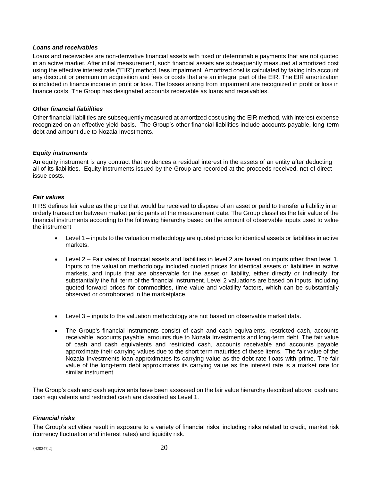#### *Loans and receivables*

Loans and receivables are non-derivative financial assets with fixed or determinable payments that are not quoted in an active market. After initial measurement, such financial assets are subsequently measured at amortized cost using the effective interest rate ("EIR") method, less impairment. Amortized cost is calculated by taking into account any discount or premium on acquisition and fees or costs that are an integral part of the EIR. The EIR amortization is included in finance income in profit or loss. The losses arising from impairment are recognized in profit or loss in finance costs. The Group has designated accounts receivable as loans and receivables.

#### *Other financial liabilities*

Other financial liabilities are subsequently measured at amortized cost using the EIR method, with interest expense recognized on an effective yield basis. The Group's other financial liabilities include accounts payable, long-term debt and amount due to Nozala Investments.

#### *Equity instruments*

An equity instrument is any contract that evidences a residual interest in the assets of an entity after deducting all of its liabilities. Equity instruments issued by the Group are recorded at the proceeds received, net of direct issue costs.

#### *Fair values*

IFRS defines fair value as the price that would be received to dispose of an asset or paid to transfer a liability in an orderly transaction between market participants at the measurement date. The Group classifies the fair value of the financial instruments according to the following hierarchy based on the amount of observable inputs used to value the instrument

- Level 1 inputs to the valuation methodology are quoted prices for identical assets or liabilities in active markets.
- Level 2 Fair vales of financial assets and liabilities in level 2 are based on inputs other than level 1. Inputs to the valuation methodology included quoted prices for identical assets or liabilities in active markets, and inputs that are observable for the asset or liability, either directly or indirectly, for substantially the full term of the financial instrument. Level 2 valuations are based on inputs, including quoted forward prices for commodities, time value and volatility factors, which can be substantially observed or corroborated in the marketplace.
- Level 3 inputs to the valuation methodology are not based on observable market data.
- The Group's financial instruments consist of cash and cash equivalents, restricted cash, accounts receivable, accounts payable, amounts due to Nozala Investments and long-term debt. The fair value of cash and cash equivalents and restricted cash, accounts receivable and accounts payable approximate their carrying values due to the short term maturities of these items. The fair value of the Nozala Investments loan approximates its carrying value as the debt rate floats with prime. The fair value of the long-term debt approximates its carrying value as the interest rate is a market rate for similar instrument

The Group's cash and cash equivalents have been assessed on the fair value hierarchy described above; cash and cash equivalents and restricted cash are classified as Level 1.

#### *Financial risks*

The Group's activities result in exposure to a variety of financial risks, including risks related to credit, market risk (currency fluctuation and interest rates) and liquidity risk.

 ${420247;2}$  20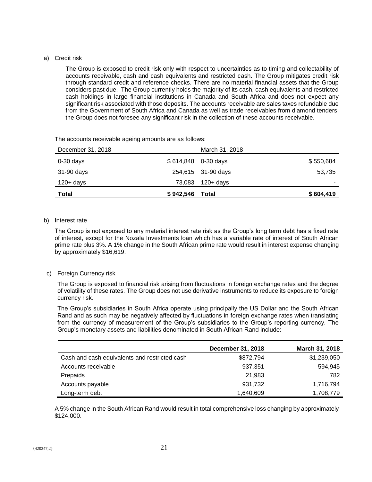#### a) Credit risk

The Group is exposed to credit risk only with respect to uncertainties as to timing and collectability of accounts receivable, cash and cash equivalents and restricted cash. The Group mitigates credit risk through standard credit and reference checks. There are no material financial assets that the Group considers past due. The Group currently holds the majority of its cash, cash equivalents and restricted cash holdings in large financial institutions in Canada and South Africa and does not expect any significant risk associated with those deposits. The accounts receivable are sales taxes refundable due from the Government of South Africa and Canada as well as trade receivables from diamond tenders; the Group does not foresee any significant risk in the collection of these accounts receivable.

| <b>Total</b>      | \$942,546 | Total              | \$604,419 |
|-------------------|-----------|--------------------|-----------|
| 120+ days         | 73,083    | 120+ days          | ٠         |
| 31-90 days        |           | 254,615 31-90 days | 53,735    |
| $0-30$ days       | \$614,848 | 0-30 days          | \$550,684 |
| December 31, 2018 |           | March 31, 2018     |           |
|                   |           |                    |           |

The accounts receivable ageing amounts are as follows:

#### b) Interest rate

The Group is not exposed to any material interest rate risk as the Group's long term debt has a fixed rate of interest, except for the Nozala Investments loan which has a variable rate of interest of South African prime rate plus 3%. A 1% change in the South African prime rate would result in interest expense changing by approximately \$16,619.

#### c) Foreign Currency risk

The Group is exposed to financial risk arising from fluctuations in foreign exchange rates and the degree of volatility of these rates. The Group does not use derivative instruments to reduce its exposure to foreign currency risk.

The Group's subsidiaries in South Africa operate using principally the US Dollar and the South African Rand and as such may be negatively affected by fluctuations in foreign exchange rates when translating from the currency of measurement of the Group's subsidiaries to the Group's reporting currency. The Group's monetary assets and liabilities denominated in South African Rand include:

|                                               | <b>December 31, 2018</b> | March 31, 2018 |
|-----------------------------------------------|--------------------------|----------------|
| Cash and cash equivalents and restricted cash | \$872,794                | \$1,239,050    |
| Accounts receivable                           | 937,351                  | 594,945        |
| Prepaids                                      | 21,983                   | 782            |
| Accounts payable                              | 931,732                  | 1,716,794      |
| Long-term debt                                | 1,640,609                | 1,708,779      |

A 5% change in the South African Rand would result in total comprehensive loss changing by approximately \$124,000.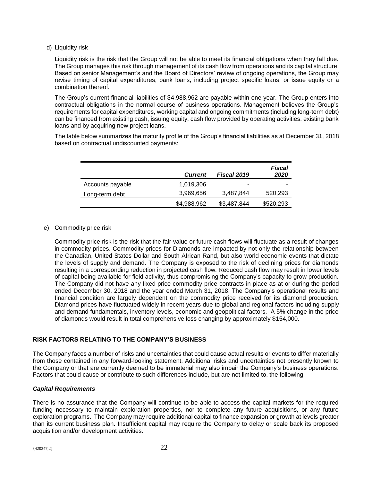d) Liquidity risk

Liquidity risk is the risk that the Group will not be able to meet its financial obligations when they fall due. The Group manages this risk through management of its cash flow from operations and its capital structure. Based on senior Management's and the Board of Directors' review of ongoing operations, the Group may revise timing of capital expenditures, bank loans, including project specific loans, or issue equity or a combination thereof.

The Group's current financial liabilities of \$4,988,962 are payable within one year. The Group enters into contractual obligations in the normal course of business operations. Management believes the Group's requirements for capital expenditures, working capital and ongoing commitments (including long-term debt) can be financed from existing cash, issuing equity, cash flow provided by operating activities, existing bank loans and by acquiring new project loans.

The table below summarizes the maturity profile of the Group's financial liabilities as at December 31, 2018 based on contractual undiscounted payments:

|                  | <b>Current</b> | <b>Fiscal 2019</b> | Fiscal<br>2020 |
|------------------|----------------|--------------------|----------------|
| Accounts payable | 1,019,306      | ۰                  |                |
| Long-term debt   | 3,969,656      | 3,487,844          | 520,293        |
|                  | \$4,988,962    | \$3,487,844        | \$520,293      |

#### e) Commodity price risk

Commodity price risk is the risk that the fair value or future cash flows will fluctuate as a result of changes in commodity prices. Commodity prices for Diamonds are impacted by not only the relationship between the Canadian, United States Dollar and South African Rand, but also world economic events that dictate the levels of supply and demand. The Company is exposed to the risk of declining prices for diamonds resulting in a corresponding reduction in projected cash flow. Reduced cash flow may result in lower levels of capital being available for field activity, thus compromising the Company's capacity to grow production. The Company did not have any fixed price commodity price contracts in place as at or during the period ended December 30, 2018 and the year ended March 31, 2018. The Company's operational results and financial condition are largely dependent on the commodity price received for its diamond production. Diamond prices have fluctuated widely in recent years due to global and regional factors including supply and demand fundamentals, inventory levels, economic and geopolitical factors. A 5% change in the price of diamonds would result in total comprehensive loss changing by approximately \$154,000.

#### **RISK FACTORS RELATING TO THE COMPANY'S BUSINESS**

The Company faces a number of risks and uncertainties that could cause actual results or events to differ materially from those contained in any forward-looking statement. Additional risks and uncertainties not presently known to the Company or that are currently deemed to be immaterial may also impair the Company's business operations. Factors that could cause or contribute to such differences include, but are not limited to, the following:

#### *Capital Requirements*

There is no assurance that the Company will continue to be able to access the capital markets for the required funding necessary to maintain exploration properties, nor to complete any future acquisitions, or any future exploration programs. The Company may require additional capital to finance expansion or growth at levels greater than its current business plan. Insufficient capital may require the Company to delay or scale back its proposed acquisition and/or development activities.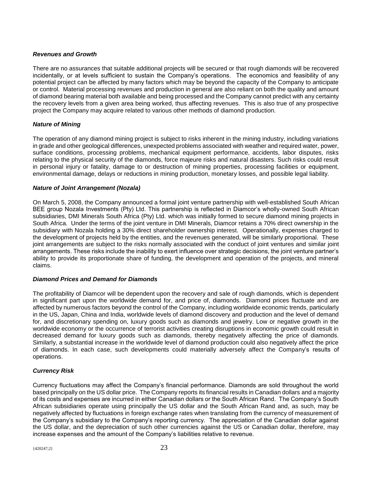#### *Revenues and Growth*

There are no assurances that suitable additional projects will be secured or that rough diamonds will be recovered incidentally, or at levels sufficient to sustain the Company's operations. The economics and feasibility of any potential project can be affected by many factors which may be beyond the capacity of the Company to anticipate or control. Material processing revenues and production in general are also reliant on both the quality and amount of diamond bearing material both available and being processed and the Company cannot predict with any certainty the recovery levels from a given area being worked, thus affecting revenues. This is also true of any prospective project the Company may acquire related to various other methods of diamond production.

#### *Nature of Mining*

The operation of any diamond mining project is subject to risks inherent in the mining industry, including variations in grade and other geological differences, unexpected problems associated with weather and required water, power, surface conditions, processing problems, mechanical equipment performance, accidents, labor disputes, risks relating to the physical security of the diamonds, force majeure risks and natural disasters. Such risks could result in personal injury or fatality, damage to or destruction of mining properties, processing facilities or equipment, environmental damage, delays or reductions in mining production, monetary losses, and possible legal liability.

#### *Nature of Joint Arrangement (Nozala)*

On March 5, 2008, the Company announced a formal joint venture partnership with well-established South African BEE group Nozala Investments (Pty) Ltd. This partnership is reflected in Diamcor's wholly-owned South African subsidiaries, DMI Minerals South Africa (Pty) Ltd. which was initially formed to secure diamond mining projects in South Africa. Under the terms of the joint venture in DMI Minerals, Diamcor retains a 70% direct ownership in the subsidiary with Nozala holding a 30% direct shareholder ownership interest. Operationally, expenses charged to the development of projects held by the entities, and the revenues generated, will be similarly proportional. These joint arrangements are subject to the risks normally associated with the conduct of joint ventures and similar joint arrangements. These risks include the inability to exert influence over strategic decisions, the joint venture partner's ability to provide its proportionate share of funding, the development and operation of the projects, and mineral claims.

#### *Diamond Prices and Demand for Diamonds*

The profitability of Diamcor will be dependent upon the recovery and sale of rough diamonds, which is dependent in significant part upon the worldwide demand for, and price of, diamonds. Diamond prices fluctuate and are affected by numerous factors beyond the control of the Company, including worldwide economic trends, particularly in the US, Japan, China and India, worldwide levels of diamond discovery and production and the level of demand for, and discretionary spending on, luxury goods such as diamonds and jewelry. Low or negative growth in the worldwide economy or the occurrence of terrorist activities creating disruptions in economic growth could result in decreased demand for luxury goods such as diamonds, thereby negatively affecting the price of diamonds. Similarly, a substantial increase in the worldwide level of diamond production could also negatively affect the price of diamonds. In each case, such developments could materially adversely affect the Company's results of operations.

#### *Currency Risk*

Currency fluctuations may affect the Company's financial performance. Diamonds are sold throughout the world based principally on the US dollar price. The Company reports its financial results in Canadian dollars and a majority of its costs and expenses are incurred in either Canadian dollars or the South African Rand. The Company's South African subsidiaries operate using principally the US dollar and the South African Rand and, as such, may be negatively affected by fluctuations in foreign exchange rates when translating from the currency of measurement of the Company's subsidiary to the Company's reporting currency. The appreciation of the Canadian dollar against the US dollar, and the depreciation of such other currencies against the US or Canadian dollar, therefore, may increase expenses and the amount of the Company's liabilities relative to revenue.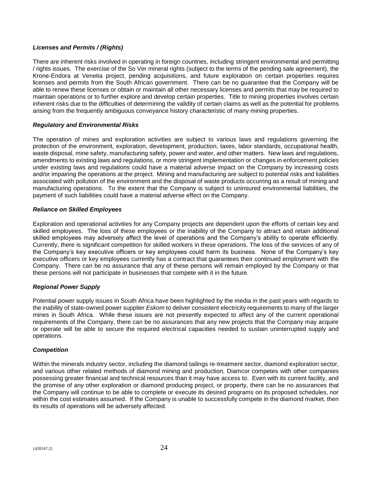#### *Licenses and Permits / (Rights)*

There are inherent risks involved in operating in foreign countries, including stringent environmental and permitting / rights issues. The exercise of the So Ver mineral rights (subject to the terms of the pending sale agreement), the Krone-Endora at Venetia project, pending acquisitions, and future exploration on certain properties requires licenses and permits from the South African government. There can be no guarantee that the Company will be able to renew these licenses or obtain or maintain all other necessary licenses and permits that may be required to maintain operations or to further explore and develop certain properties. Title to mining properties involves certain inherent risks due to the difficulties of determining the validity of certain claims as well as the potential for problems arising from the frequently ambiguous conveyance history characteristic of many mining properties.

#### *Regulatory and Environmental Risks*

The operation of mines and exploration activities are subject to various laws and regulations governing the protection of the environment, exploration, development, production, taxes, labor standards, occupational health, waste disposal, mine safety, manufacturing safety, power and water, and other matters. New laws and regulations, amendments to existing laws and regulations, or more stringent implementation or changes in enforcement policies under existing laws and regulations could have a material adverse impact on the Company by increasing costs and/or impairing the operations at the project. Mining and manufacturing are subject to potential risks and liabilities associated with pollution of the environment and the disposal of waste products occurring as a result of mining and manufacturing operations. To the extent that the Company is subject to uninsured environmental liabilities, the payment of such liabilities could have a material adverse effect on the Company.

#### *Reliance on Skilled Employees*

Exploration and operational activities for any Company projects are dependent upon the efforts of certain key and skilled employees. The loss of these employees or the inability of the Company to attract and retain additional skilled employees may adversely affect the level of operations and the Company's ability to operate efficiently. Currently, there is significant competition for skilled workers in these operations. The loss of the services of any of the Company's key executive officers or key employees could harm its business. None of the Company's key executive officers or key employees currently has a contract that guarantees their continued employment with the Company. There can be no assurance that any of these persons will remain employed by the Company or that these persons will not participate in businesses that compete with it in the future.

#### *Regional Power Supply*

Potential power supply issues in South Africa have been highlighted by the media in the past years with regards to the inability of state-owned power supplier *Eskom* to deliver consistent electricity requirements to many of the larger mines in South Africa. While these issues are not presently expected to affect any of the current operational requirements of the Company, there can be no assurances that any new projects that the Company may acquire or operate will be able to secure the required electrical capacities needed to sustain uninterrupted supply and operations.

#### *Competition*

Within the minerals industry sector, including the diamond tailings re-treatment sector, diamond exploration sector, and various other related methods of diamond mining and production, Diamcor competes with other companies possessing greater financial and technical resources than it may have access to. Even with its current facility, and the promise of any other exploration or diamond producing project, or property, there can be no assurances that the Company will continue to be able to complete or execute its desired programs on its proposed schedules, nor within the cost estimates assumed. If the Company is unable to successfully compete in the diamond market, then its results of operations will be adversely affected.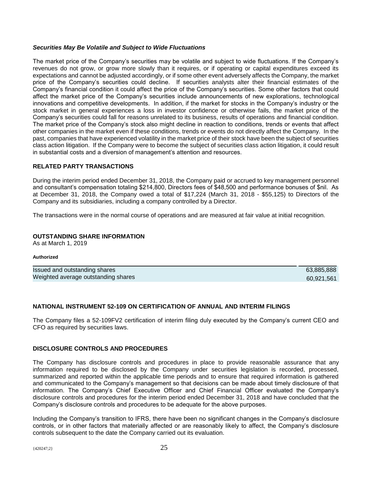#### *Securities May Be Volatile and Subject to Wide Fluctuations*

The market price of the Company's securities may be volatile and subject to wide fluctuations. If the Company's revenues do not grow, or grow more slowly than it requires, or if operating or capital expenditures exceed its expectations and cannot be adjusted accordingly, or if some other event adversely affects the Company, the market price of the Company's securities could decline. If securities analysts alter their financial estimates of the Company's financial condition it could affect the price of the Company's securities. Some other factors that could affect the market price of the Company's securities include announcements of new explorations, technological innovations and competitive developments. In addition, if the market for stocks in the Company's industry or the stock market in general experiences a loss in investor confidence or otherwise fails, the market price of the Company's securities could fall for reasons unrelated to its business, results of operations and financial condition. The market price of the Company's stock also might decline in reaction to conditions, trends or events that affect other companies in the market even if these conditions, trends or events do not directly affect the Company. In the past, companies that have experienced volatility in the market price of their stock have been the subject of securities class action litigation. If the Company were to become the subject of securities class action litigation, it could result in substantial costs and a diversion of management's attention and resources.

#### **RELATED PARTY TRANSACTIONS**

During the interim period ended December 31, 2018, the Company paid or accrued to key management personnel and consultant's compensation totaling \$214,800, Directors fees of \$48,500 and performance bonuses of \$nil. As at December 31, 2018, the Company owed a total of \$17,224 (March 31, 2018 - \$55,125) to Directors of the Company and its subsidiaries, including a company controlled by a Director.

The transactions were in the normal course of operations and are measured at fair value at initial recognition.

#### **OUTSTANDING SHARE INFORMATION**

As at March 1, 2019

#### **Authorized**

| Issued and outstanding shares       | 63,885,888 |
|-------------------------------------|------------|
| Weighted average outstanding shares | 60.921.561 |

#### **NATIONAL INSTRUMENT 52-109 ON CERTIFICATION OF ANNUAL AND INTERIM FILINGS**

The Company files a 52-109FV2 certification of interim filing duly executed by the Company's current CEO and CFO as required by securities laws.

#### **DISCLOSURE CONTROLS AND PROCEDURES**

The Company has disclosure controls and procedures in place to provide reasonable assurance that any information required to be disclosed by the Company under securities legislation is recorded, processed, summarized and reported within the applicable time periods and to ensure that required information is gathered and communicated to the Company's management so that decisions can be made about timely disclosure of that information. The Company's Chief Executive Officer and Chief Financial Officer evaluated the Company's disclosure controls and procedures for the interim period ended December 31, 2018 and have concluded that the Company's disclosure controls and procedures to be adequate for the above purposes.

Including the Company's transition to IFRS, there have been no significant changes in the Company's disclosure controls, or in other factors that materially affected or are reasonably likely to affect, the Company's disclosure controls subsequent to the date the Company carried out its evaluation.